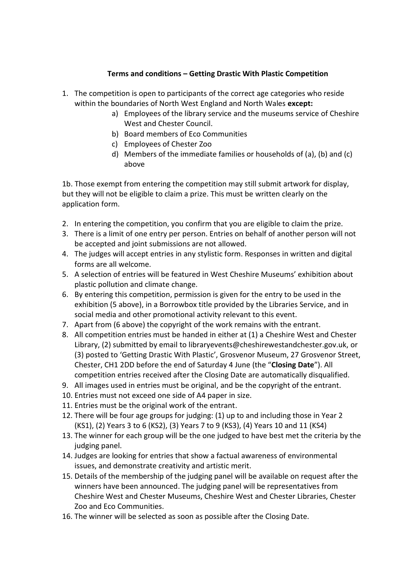## **Terms and conditions – Getting Drastic With Plastic Competition**

- 1. The competition is open to participants of the correct age categories who reside within the boundaries of North West England and North Wales **except:**
	- a) Employees of the library service and the museums service of Cheshire West and Chester Council.
	- b) Board members of Eco Communities
	- c) Employees of Chester Zoo
	- d) Members of the immediate families or households of (a), (b) and (c) above

1b. Those exempt from entering the competition may still submit artwork for display, but they will not be eligible to claim a prize. This must be written clearly on the application form.

- 2. In entering the competition, you confirm that you are eligible to claim the prize.
- 3. There is a limit of one entry per person. Entries on behalf of another person will not be accepted and joint submissions are not allowed.
- 4. The judges will accept entries in any stylistic form. Responses in written and digital forms are all welcome.
- 5. A selection of entries will be featured in West Cheshire Museums' exhibition about plastic pollution and climate change.
- 6. By entering this competition, permission is given for the entry to be used in the exhibition (5 above), in a Borrowbox title provided by the Libraries Service, and in social media and other promotional activity relevant to this event.
- 7. Apart from (6 above) the copyright of the work remains with the entrant.
- 8. All competition entries must be handed in either at (1) a Cheshire West and Chester Library, (2) submitted by email to libraryevents@cheshirewestandchester.gov.uk, or (3) posted to 'Getting Drastic With Plastic', Grosvenor Museum, 27 Grosvenor Street, Chester, CH1 2DD before the end of Saturday 4 June (the "**Closing Date**"). All competition entries received after the Closing Date are automatically disqualified.
- 9. All images used in entries must be original, and be the copyright of the entrant.
- 10. Entries must not exceed one side of A4 paper in size.
- 11. Entries must be the original work of the entrant.
- 12. There will be four age groups for judging: (1) up to and including those in Year 2 (KS1), (2) Years 3 to 6 (KS2), (3) Years 7 to 9 (KS3), (4) Years 10 and 11 (KS4)
- 13. The winner for each group will be the one judged to have best met the criteria by the judging panel.
- 14. Judges are looking for entries that show a factual awareness of environmental issues, and demonstrate creativity and artistic merit.
- 15. Details of the membership of the judging panel will be available on request after the winners have been announced. The judging panel will be representatives from Cheshire West and Chester Museums, Cheshire West and Chester Libraries, Chester Zoo and Eco Communities.
- 16. The winner will be selected as soon as possible after the Closing Date.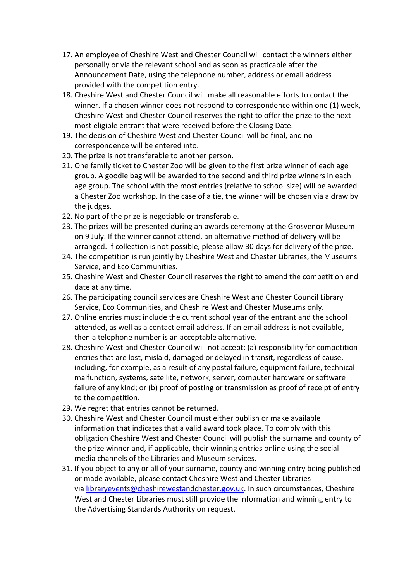- 17. An employee of Cheshire West and Chester Council will contact the winners either personally or via the relevant school and as soon as practicable after the Announcement Date, using the telephone number, address or email address provided with the competition entry.
- 18. Cheshire West and Chester Council will make all reasonable efforts to contact the winner. If a chosen winner does not respond to correspondence within one (1) week, Cheshire West and Chester Council reserves the right to offer the prize to the next most eligible entrant that were received before the Closing Date.
- 19. The decision of Cheshire West and Chester Council will be final, and no correspondence will be entered into.
- 20. The prize is not transferable to another person.
- 21. One family ticket to Chester Zoo will be given to the first prize winner of each age group. A goodie bag will be awarded to the second and third prize winners in each age group. The school with the most entries (relative to school size) will be awarded a Chester Zoo workshop. In the case of a tie, the winner will be chosen via a draw by the judges.
- 22. No part of the prize is negotiable or transferable.
- 23. The prizes will be presented during an awards ceremony at the Grosvenor Museum on 9 July. If the winner cannot attend, an alternative method of delivery will be arranged. If collection is not possible, please allow 30 days for delivery of the prize.
- 24. The competition is run jointly by Cheshire West and Chester Libraries, the Museums Service, and Eco Communities.
- 25. Cheshire West and Chester Council reserves the right to amend the competition end date at any time.
- 26. The participating council services are Cheshire West and Chester Council Library Service, Eco Communities, and Cheshire West and Chester Museums only.
- 27. Online entries must include the current school year of the entrant and the school attended, as well as a contact email address. If an email address is not available, then a telephone number is an acceptable alternative.
- 28. Cheshire West and Chester Council will not accept: (a) responsibility for competition entries that are lost, mislaid, damaged or delayed in transit, regardless of cause, including, for example, as a result of any postal failure, equipment failure, technical malfunction, systems, satellite, network, server, computer hardware or software failure of any kind; or (b) proof of posting or transmission as proof of receipt of entry to the competition.
- 29. We regret that entries cannot be returned.
- 30. Cheshire West and Chester Council must either publish or make available information that indicates that a valid award took place. To comply with this obligation Cheshire West and Chester Council will publish the surname and county of the prize winner and, if applicable, their winning entries online using the social media channels of the Libraries and Museum services.
- 31. If you object to any or all of your surname, county and winning entry being published or made available, please contact Cheshire West and Chester Libraries via [libraryevents@cheshirewestandchester.gov.uk.](mailto:grosvenor.museum@cheshirewestandchester.gov.uk) In such circumstances, Cheshire West and Chester Libraries must still provide the information and winning entry to the Advertising Standards Authority on request.